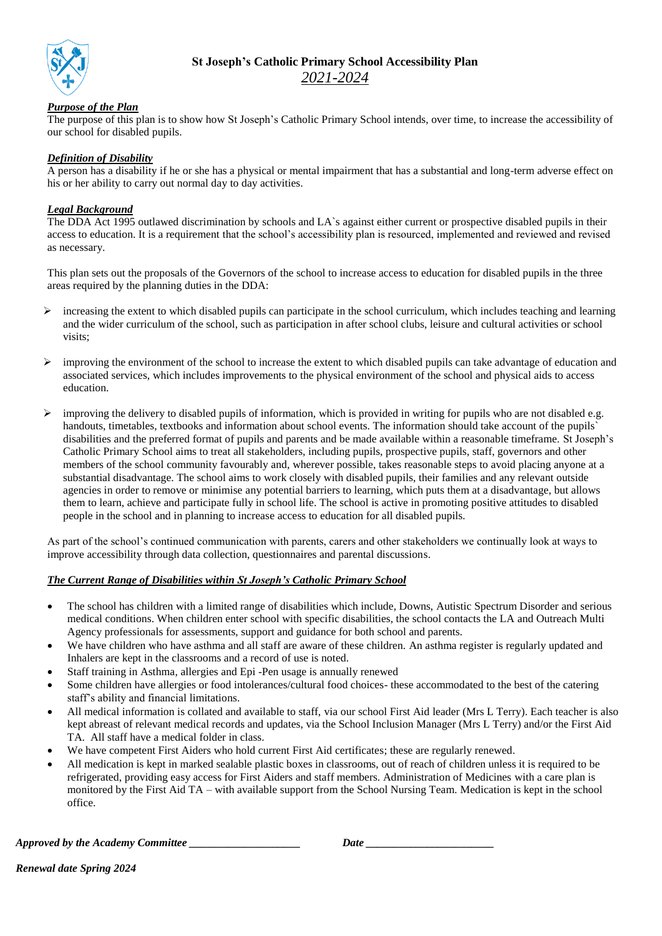

## *Purpose of the Plan*

The purpose of this plan is to show how St Joseph's Catholic Primary School intends, over time, to increase the accessibility of our school for disabled pupils.

## *Definition of Disability*

A person has a disability if he or she has a physical or mental impairment that has a substantial and long-term adverse effect on his or her ability to carry out normal day to day activities.

## *Legal Background*

The DDA Act 1995 outlawed discrimination by schools and LA`s against either current or prospective disabled pupils in their access to education. It is a requirement that the school's accessibility plan is resourced, implemented and reviewed and revised as necessary.

This plan sets out the proposals of the Governors of the school to increase access to education for disabled pupils in the three areas required by the planning duties in the DDA:

- increasing the extent to which disabled pupils can participate in the school curriculum, which includes teaching and learning and the wider curriculum of the school, such as participation in after school clubs, leisure and cultural activities or school visits;
- $\triangleright$  improving the environment of the school to increase the extent to which disabled pupils can take advantage of education and associated services, which includes improvements to the physical environment of the school and physical aids to access education.
- $\triangleright$  improving the delivery to disabled pupils of information, which is provided in writing for pupils who are not disabled e.g. handouts, timetables, textbooks and information about school events. The information should take account of the pupils` disabilities and the preferred format of pupils and parents and be made available within a reasonable timeframe. St Joseph's Catholic Primary School aims to treat all stakeholders, including pupils, prospective pupils, staff, governors and other members of the school community favourably and, wherever possible, takes reasonable steps to avoid placing anyone at a substantial disadvantage. The school aims to work closely with disabled pupils, their families and any relevant outside agencies in order to remove or minimise any potential barriers to learning, which puts them at a disadvantage, but allows them to learn, achieve and participate fully in school life. The school is active in promoting positive attitudes to disabled people in the school and in planning to increase access to education for all disabled pupils.

As part of the school's continued communication with parents, carers and other stakeholders we continually look at ways to improve accessibility through data collection, questionnaires and parental discussions.

## *The Current Range of Disabilities within St Joseph's Catholic Primary School*

- The school has children with a limited range of disabilities which include, Downs, Autistic Spectrum Disorder and serious medical conditions. When children enter school with specific disabilities, the school contacts the LA and Outreach Multi Agency professionals for assessments, support and guidance for both school and parents.
- We have children who have asthma and all staff are aware of these children. An asthma register is regularly updated and Inhalers are kept in the classrooms and a record of use is noted.
- Staff training in Asthma, allergies and Epi -Pen usage is annually renewed
- Some children have allergies or food intolerances/cultural food choices- these accommodated to the best of the catering staff's ability and financial limitations.
- All medical information is collated and available to staff, via our school First Aid leader (Mrs L Terry). Each teacher is also kept abreast of relevant medical records and updates, via the School Inclusion Manager (Mrs L Terry) and/or the First Aid TA. All staff have a medical folder in class.
- We have competent First Aiders who hold current First Aid certificates; these are regularly renewed.
- All medication is kept in marked sealable plastic boxes in classrooms, out of reach of children unless it is required to be refrigerated, providing easy access for First Aiders and staff members. Administration of Medicines with a care plan is monitored by the First Aid TA – with available support from the School Nursing Team. Medication is kept in the school office.

*Approved by the Academy Committee \_\_\_\_\_\_\_\_\_\_\_\_\_\_\_\_\_\_\_\_ Date \_\_\_\_\_\_\_\_\_\_\_\_\_\_\_\_\_\_\_\_\_\_\_* 

*Renewal date Spring 2024*